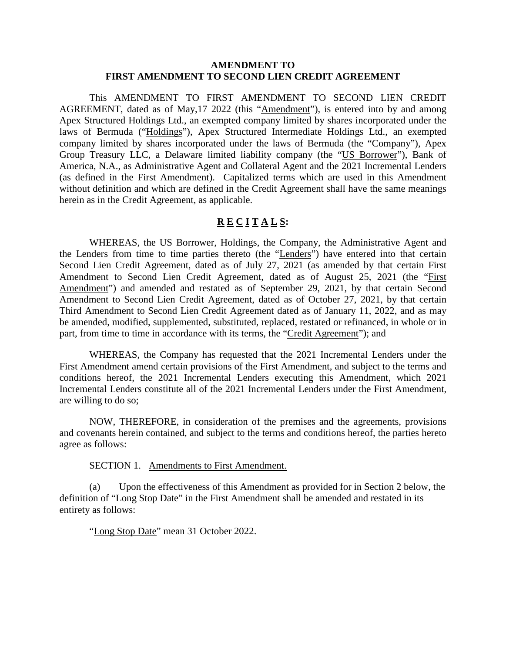#### **AMENDMENT TO FIRST AMENDMENT TO SECOND LIEN CREDIT AGREEMENT**

This AMENDMENT TO FIRST AMENDMENT TO SECOND LIEN CREDIT AGREEMENT, dated as of May,17 2022 (this "Amendment"), is entered into by and among Apex Structured Holdings Ltd., an exempted company limited by shares incorporated under the laws of Bermuda ("Holdings"), Apex Structured Intermediate Holdings Ltd., an exempted company limited by shares incorporated under the laws of Bermuda (the "Company"), Apex Group Treasury LLC, a Delaware limited liability company (the "US Borrower"), Bank of America, N.A., as Administrative Agent and Collateral Agent and the 2021 Incremental Lenders (as defined in the First Amendment). Capitalized terms which are used in this Amendment without definition and which are defined in the Credit Agreement shall have the same meanings herein as in the Credit Agreement, as applicable.

## **R E C I T A L S:**

WHEREAS, the US Borrower, Holdings, the Company, the Administrative Agent and the Lenders from time to time parties thereto (the "Lenders") have entered into that certain Second Lien Credit Agreement, dated as of July 27, 2021 (as amended by that certain First Amendment to Second Lien Credit Agreement, dated as of August 25, 2021 (the "First Amendment") and amended and restated as of September 29, 2021, by that certain Second Amendment to Second Lien Credit Agreement, dated as of October 27, 2021, by that certain Third Amendment to Second Lien Credit Agreement dated as of January 11, 2022, and as may be amended, modified, supplemented, substituted, replaced, restated or refinanced, in whole or in part, from time to time in accordance with its terms, the "Credit Agreement"); and

WHEREAS, the Company has requested that the 2021 Incremental Lenders under the First Amendment amend certain provisions of the First Amendment, and subject to the terms and conditions hereof, the 2021 Incremental Lenders executing this Amendment, which 2021 Incremental Lenders constitute all of the 2021 Incremental Lenders under the First Amendment, are willing to do so;

NOW, THEREFORE, in consideration of the premises and the agreements, provisions and covenants herein contained, and subject to the terms and conditions hereof, the parties hereto agree as follows:

SECTION 1. Amendments to First Amendment.

(a) Upon the effectiveness of this Amendment as provided for in Section 2 below, the definition of "Long Stop Date" in the First Amendment shall be amended and restated in its entirety as follows:

"Long Stop Date" mean 31 October 2022.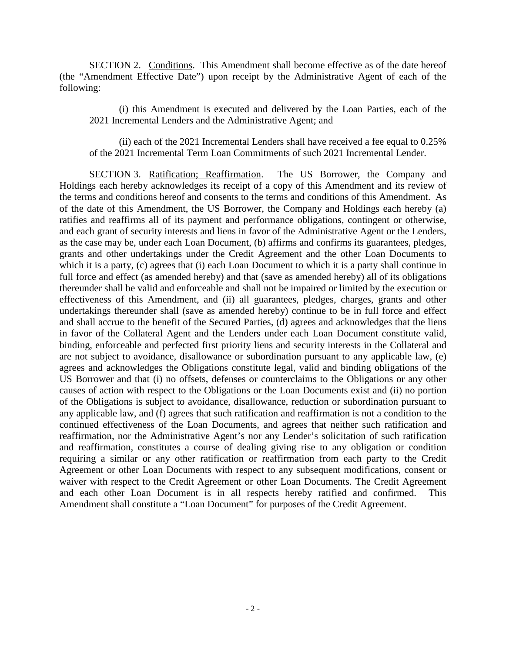SECTION 2. Conditions. This Amendment shall become effective as of the date hereof (the "Amendment Effective Date") upon receipt by the Administrative Agent of each of the following:

(i) this Amendment is executed and delivered by the Loan Parties, each of the 2021 Incremental Lenders and the Administrative Agent; and

(ii) each of the 2021 Incremental Lenders shall have received a fee equal to 0.25% of the 2021 Incremental Term Loan Commitments of such 2021 Incremental Lender.

SECTION 3. Ratification; Reaffirmation. The US Borrower, the Company and Holdings each hereby acknowledges its receipt of a copy of this Amendment and its review of the terms and conditions hereof and consents to the terms and conditions of this Amendment. As of the date of this Amendment, the US Borrower, the Company and Holdings each hereby (a) ratifies and reaffirms all of its payment and performance obligations, contingent or otherwise, and each grant of security interests and liens in favor of the Administrative Agent or the Lenders, as the case may be, under each Loan Document, (b) affirms and confirms its guarantees, pledges, grants and other undertakings under the Credit Agreement and the other Loan Documents to which it is a party, (c) agrees that (i) each Loan Document to which it is a party shall continue in full force and effect (as amended hereby) and that (save as amended hereby) all of its obligations thereunder shall be valid and enforceable and shall not be impaired or limited by the execution or effectiveness of this Amendment, and (ii) all guarantees, pledges, charges, grants and other undertakings thereunder shall (save as amended hereby) continue to be in full force and effect and shall accrue to the benefit of the Secured Parties, (d) agrees and acknowledges that the liens in favor of the Collateral Agent and the Lenders under each Loan Document constitute valid, binding, enforceable and perfected first priority liens and security interests in the Collateral and are not subject to avoidance, disallowance or subordination pursuant to any applicable law, (e) agrees and acknowledges the Obligations constitute legal, valid and binding obligations of the US Borrower and that (i) no offsets, defenses or counterclaims to the Obligations or any other causes of action with respect to the Obligations or the Loan Documents exist and (ii) no portion of the Obligations is subject to avoidance, disallowance, reduction or subordination pursuant to any applicable law, and (f) agrees that such ratification and reaffirmation is not a condition to the continued effectiveness of the Loan Documents, and agrees that neither such ratification and reaffirmation, nor the Administrative Agent's nor any Lender's solicitation of such ratification and reaffirmation, constitutes a course of dealing giving rise to any obligation or condition requiring a similar or any other ratification or reaffirmation from each party to the Credit Agreement or other Loan Documents with respect to any subsequent modifications, consent or waiver with respect to the Credit Agreement or other Loan Documents. The Credit Agreement and each other Loan Document is in all respects hereby ratified and confirmed. This Amendment shall constitute a "Loan Document" for purposes of the Credit Agreement.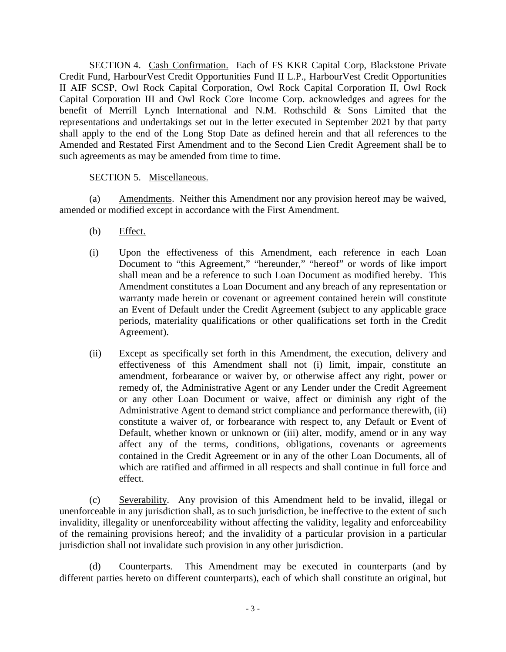SECTION 4. Cash Confirmation. Each of FS KKR Capital Corp, Blackstone Private Credit Fund, HarbourVest Credit Opportunities Fund II L.P., HarbourVest Credit Opportunities II AIF SCSP, Owl Rock Capital Corporation, Owl Rock Capital Corporation II, Owl Rock Capital Corporation III and Owl Rock Core Income Corp. acknowledges and agrees for the benefit of Merrill Lynch International and N.M. Rothschild & Sons Limited that the representations and undertakings set out in the letter executed in September 2021 by that party shall apply to the end of the Long Stop Date as defined herein and that all references to the Amended and Restated First Amendment and to the Second Lien Credit Agreement shall be to such agreements as may be amended from time to time.

## SECTION 5. Miscellaneous.

(a) Amendments. Neither this Amendment nor any provision hereof may be waived, amended or modified except in accordance with the First Amendment.

- (b) Effect.
- (i) Upon the effectiveness of this Amendment, each reference in each Loan Document to "this Agreement," "hereunder," "hereof" or words of like import shall mean and be a reference to such Loan Document as modified hereby. This Amendment constitutes a Loan Document and any breach of any representation or warranty made herein or covenant or agreement contained herein will constitute an Event of Default under the Credit Agreement (subject to any applicable grace periods, materiality qualifications or other qualifications set forth in the Credit Agreement).
- (ii) Except as specifically set forth in this Amendment, the execution, delivery and effectiveness of this Amendment shall not (i) limit, impair, constitute an amendment, forbearance or waiver by, or otherwise affect any right, power or remedy of, the Administrative Agent or any Lender under the Credit Agreement or any other Loan Document or waive, affect or diminish any right of the Administrative Agent to demand strict compliance and performance therewith, (ii) constitute a waiver of, or forbearance with respect to, any Default or Event of Default, whether known or unknown or (iii) alter, modify, amend or in any way affect any of the terms, conditions, obligations, covenants or agreements contained in the Credit Agreement or in any of the other Loan Documents, all of which are ratified and affirmed in all respects and shall continue in full force and effect.

(c) Severability. Any provision of this Amendment held to be invalid, illegal or unenforceable in any jurisdiction shall, as to such jurisdiction, be ineffective to the extent of such invalidity, illegality or unenforceability without affecting the validity, legality and enforceability of the remaining provisions hereof; and the invalidity of a particular provision in a particular jurisdiction shall not invalidate such provision in any other jurisdiction.

(d) Counterparts. This Amendment may be executed in counterparts (and by different parties hereto on different counterparts), each of which shall constitute an original, but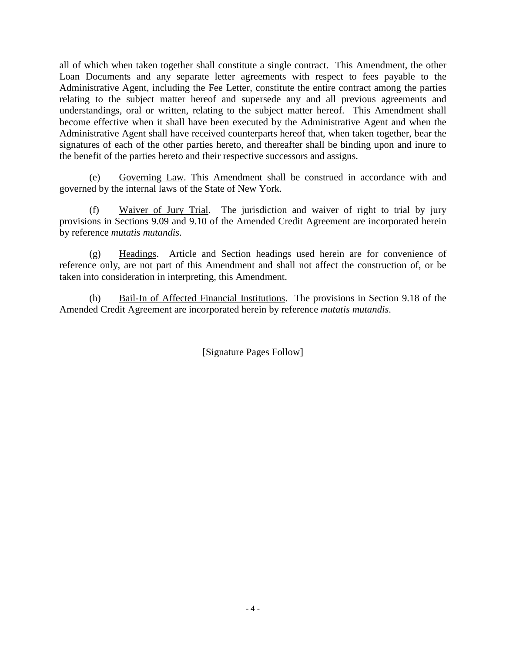all of which when taken together shall constitute a single contract. This Amendment, the other Loan Documents and any separate letter agreements with respect to fees payable to the Administrative Agent, including the Fee Letter, constitute the entire contract among the parties relating to the subject matter hereof and supersede any and all previous agreements and understandings, oral or written, relating to the subject matter hereof. This Amendment shall become effective when it shall have been executed by the Administrative Agent and when the Administrative Agent shall have received counterparts hereof that, when taken together, bear the signatures of each of the other parties hereto, and thereafter shall be binding upon and inure to the benefit of the parties hereto and their respective successors and assigns.

(e) Governing Law. This Amendment shall be construed in accordance with and governed by the internal laws of the State of New York.

(f) Waiver of Jury Trial. The jurisdiction and waiver of right to trial by jury provisions in Sections 9.09 and 9.10 of the Amended Credit Agreement are incorporated herein by reference *mutatis mutandis*.

(g) Headings. Article and Section headings used herein are for convenience of reference only, are not part of this Amendment and shall not affect the construction of, or be taken into consideration in interpreting, this Amendment.

(h) Bail-In of Affected Financial Institutions. The provisions in Section 9.18 of the Amended Credit Agreement are incorporated herein by reference *mutatis mutandis*.

[Signature Pages Follow]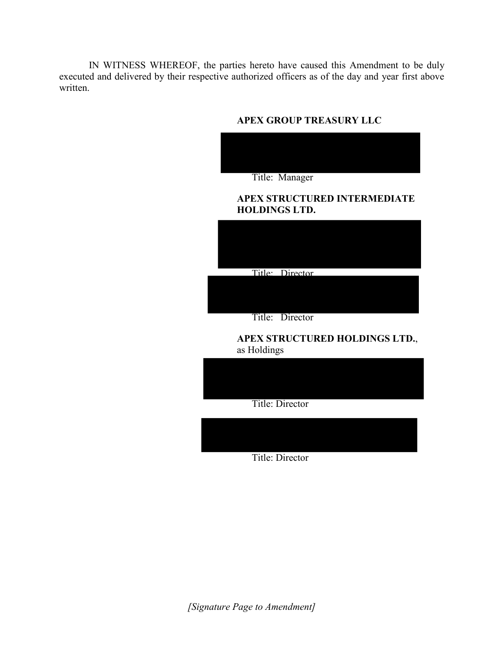IN WITNESS WHEREOF, the parties hereto have caused this Amendment to be duly executed and delivered by their respective authorized officers as of the day and year first above written.

## **APEX GROUP TREASURY LLC**



### **APEX STRUCTURED INTERMEDIATE HOLDINGS LTD.**



Title: Director

## **APEX STRUCTURED HOLDINGS LTD.**, as Holdings



Title: Director

*[Signature Page to Amendment]*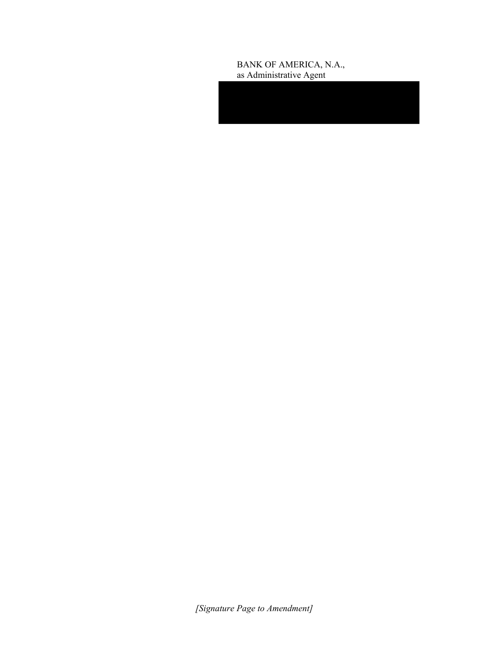#### BANK OF AMERICA, N.A., as Administrative Agent

*[Signature Page to Amendment]*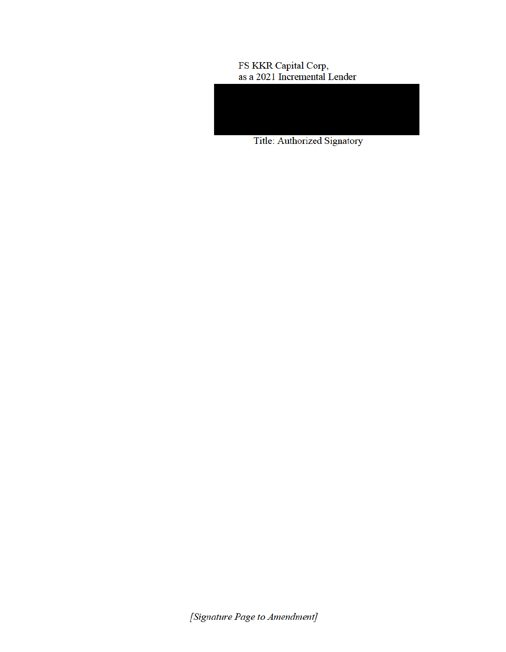# FS KKR Capital Corp,<br>as a 2021 Incremental Lender



Title: Authorized Signatory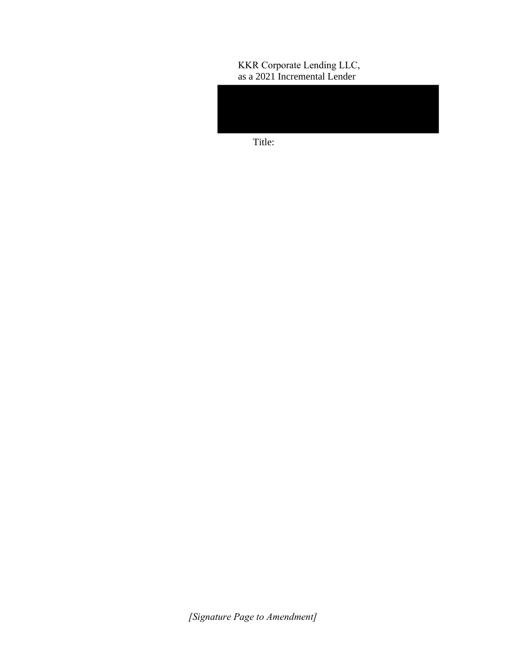## KKR Corporate Lending LLC, as a 2021 Incremental Lender

Title:

*[Signature Page to Amendment]*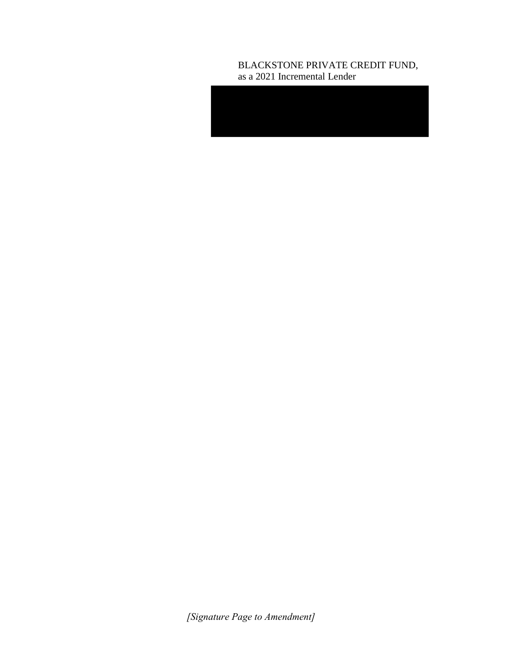## BLACKSTONE PRIVATE CREDIT FUND, as a 2021 Incremental Lender

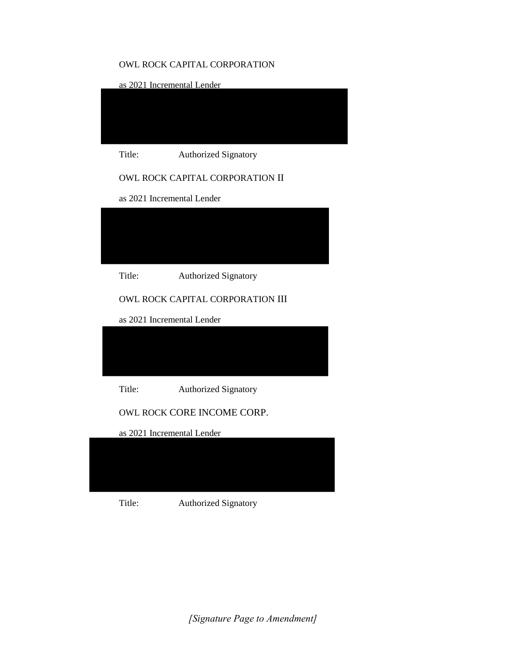## OWL ROCK CAPITAL CORPORATION

as 2021 Incremental Lender



Title: Authorized Signatory

## OWL ROCK CAPITAL CORPORATION II

as 2021 Incremental Lender



Title: Authorized Signatory

## OWL ROCK CAPITAL CORPORATION III

as 2021 Incremental Lender



Title: Authorized Signatory

OWL ROCK CORE INCOME CORP.

as 2021 Incremental Lender



Title: Authorized Signatory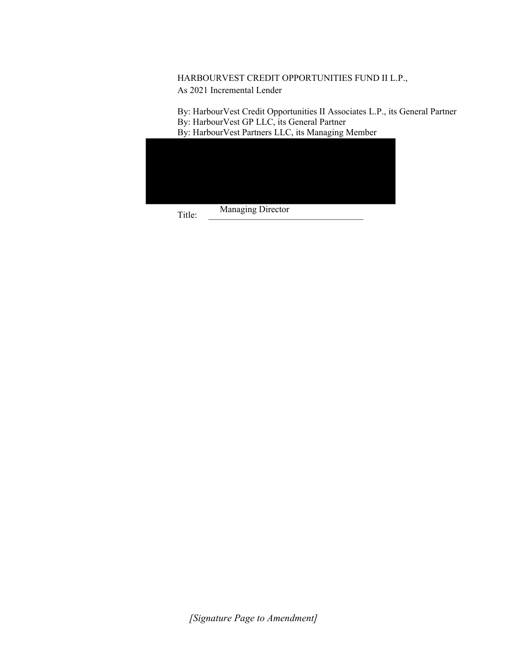## HARBOURVEST CREDIT OPPORTUNITIES FUND II L.P., As 2021 Incremental Lender

By: HarbourVest Credit Opportunities II Associates L.P., its General Partner By: HarbourVest GP LLC, its General Partner By: HarbourVest Partners LLC, its Managing Member

|  | Managing Director |  |
|--|-------------------|--|

Title: \_\_\_\_\_\_\_\_\_\_\_\_\_\_\_\_\_\_\_\_\_\_\_\_\_\_\_\_\_\_\_\_\_\_ Managing Director